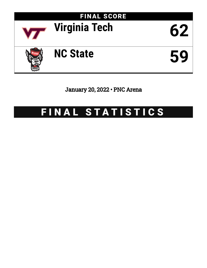

January 20, 2022 • PNC Arena

# FINAL STATISTICS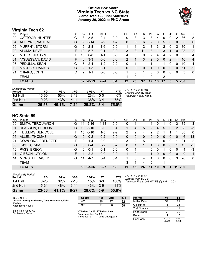# **Official Box Score Virginia Tech vs NC State Game Totals -- Final Statistics January 20, 2022 at PNC Arena**



# **Virginia Tech 62**

|                       |    | <b>Pts</b>    | FG       | 3FG      | FT      | OR | DR       | TR | PF                   | A            | TO       | <b>B</b> lk  | Stl      | Min | $+/-$          |
|-----------------------|----|---------------|----------|----------|---------|----|----------|----|----------------------|--------------|----------|--------------|----------|-----|----------------|
| CATTOOR, HUNTER       | G  | 8             | $3-5$    | $2 - 4$  | $0-0$   | 0  | 3        | 3  | 3                    | 4            | 0        | 0            | 2        | 36  | 8              |
| ALLEYNE, NAHIEM       | G  | 9             | $3 - 14$ | $2 - 9$  | $1 - 2$ | 0  | 6        | 6  | $\mathbf{2}^{\circ}$ | $\mathbf{0}$ | 5        | $\mathbf{0}$ | $\Omega$ | 33  | $\mathbf{0}$   |
| MURPHY, STORM         | G  | 5             | $2 - 8$  | 1-6      | $0-0$   |    |          | 2  | 3                    | 3            | 2        | 0            | 2        | 30  | $-1$           |
| ALUMA, KEVE           | F. | 10            | $5 - 7$  | $0 - 1$  | $0-0$   | 3  | 8        | 11 | 3                    | 1            | 3        | 1            | $\Omega$ | 28  | $-2$           |
| MUTTS, JUSTYN         | F. | 13            | $6 - 8$  | $1 - 1$  | $0 - 0$ | 4  | 5        | 9  | 2                    | 4            | 4        | 2            | $\Omega$ | 33  | 4              |
| N'GUESSAN, DAVID      | F. | 6             | $3 - 3$  | $0 - 0$  | $0 - 0$ | 2  |          | 3  | $\overline{2}$       | $\Omega$     | $\Omega$ | 2            |          | 16  | $\overline{4}$ |
| PEDULLA, SEAN         | G  |               | $2 - 4$  | $1 - 2$  | $2 - 2$ | 0  |          |    |                      | 1            | 4        | 0            | $\Omega$ | 10  | 4              |
| <b>MADDOX, DARIUS</b> | G  | $\mathcal{P}$ | $1 - 3$  | $0 - 1$  | $0 - 0$ | 0  | 0        | 0  |                      | 0            | 0        | 0            | $\Omega$ | 11  | $-2$           |
| OJIAKO, JOHN          | С  | $\mathcal{P}$ | 1-1      | $0-0$    | $0-0$   | 1. | $\Omega$ |    | 0                    | $\Omega$     | 0        | $\Omega$     | $\Omega$ | 3   | $\mathbf{0}$   |
| <b>TEAM</b>           |    |               |          |          |         |    | 0        |    | 0                    |              | 2        |              |          |     |                |
| <b>TOTALS</b>         |    |               |          | 7-24     | $3 - 4$ | 12 | 25       | 37 | 17                   | 13           | 17       | 5            | 5        |     |                |
|                       |    |               |          | 62 26-53 |         |    |          |    |                      |              |          |              |          |     | <b>200</b>     |

| Period<br>1st Half | FG<br>16-30 | FG%<br>.53% | 3FG<br>$3-13$ | 3FG%<br><b>23%</b> | FТ<br>$0 - 0$ | FT%<br>$0\%$ | Last FG: 2nd-02:16<br>Largest lead: By 18 at<br>Technical Fouls: None. |
|--------------------|-------------|-------------|---------------|--------------------|---------------|--------------|------------------------------------------------------------------------|
| 2nd Half           | $10 - 23$   | 43%         | 4-11          | 36%                | $3 - 4$       | 75%          |                                                                        |
| Game               | 26-53       | 49.1%       | $7 - 24$      | 29.2%              | $3 - 4$       | 75.0%        |                                                                        |

# **NC State 59**

| No. | Plaver                   | S  | <b>Pts</b> | FG       | 3FG      | FT      | OR | DR | TR       | PF            | A  | TO | <b>B</b> lk  | Stl      | Min        | $+/-$        |
|-----|--------------------------|----|------------|----------|----------|---------|----|----|----------|---------------|----|----|--------------|----------|------------|--------------|
| 00  | SMITH, TERQUAVION        | G  | 14         | $5 - 16$ | $4 - 13$ | $0 - 0$ | 0  |    |          | 4             | 0  |    | 0            | 3        | 35         | $-3$         |
| 01  | <b>SEABRON, DEREON</b>   | G  | 13         | $5 - 10$ | $0 - 0$  | $3 - 4$ | 1. | 4  | 5        | $\mathcal{P}$ | 4  | 5  | $\Omega$     | 2        | 38         | $-3$         |
| 04  | <b>HELLEMS, JERICOLE</b> | F. | 15         | $6 - 10$ | 1-5      | $2 - 2$ | 2  | 2  | 4        | 2             | 2  |    |              |          | 38         | $\mathbf{0}$ |
| 05  | <b>ALLEN, THOMAS</b>     | G  | 0          | $0 - 2$  | $0 - 2$  | $0 - 0$ | 0  | 0  | $\Omega$ | $\Omega$      | 0  | 0  | $\mathbf{0}$ | $\Omega$ | 6          | $-13$        |
| 21  | DOWUONA, EBENEZER        | F. | 2          | $1 - 4$  | $0 - 0$  | $0 - 0$ | 3  | 2  | 5        | 0             | 1  | 0  | $\Omega$     |          | 31         | $-2$         |
| 03  | HAYES, CAM               | G  | 0          | $0 - 4$  | $0 - 2$  | $0 - 2$ | 0  |    |          |               | 3  | 0  | $\mathbf{0}$ |          | 13         | $-5$         |
| 10  | PASS, BREON              | G  | 0          | $0 - 1$  | $0 - 1$  | $0-0$   | 0  |    |          | 0             | 0  |    | 0            | 0        | 4          | -3           |
| 11  | GIBSON, JAYLON           | F. | 4          | $2 - 2$  | $0 - 0$  | $0 - 0$ |    | 0  |          |               | 0  | 0  | $\mathbf{0}$ | $\Omega$ | 9          | $-1$         |
| 14  | MORSELL, CASEY           | G  | 11         | $4 - 7$  | $3 - 4$  | $0 - 1$ |    | 3  | 4        |               | 0  | 0  | 0            | 3        | 26         | 8            |
|     | <b>TEAM</b>              |    |            |          |          |         | 3  | 1  | 4        | 0             |    |    |              |          |            |              |
|     | <b>TOTALS</b>            |    |            | 59 23-56 | $8 - 27$ | $5-9$   | 11 | 15 | 26       | 11            | 10 | 9  |              | 11       | <b>200</b> |              |

| <b>Shooting By Period</b><br>Period | FG       | FG%   | 3FG      | 3FG%  | FT.     | FT%   |
|-------------------------------------|----------|-------|----------|-------|---------|-------|
| 1st Half                            | $8 - 25$ | 32%   | $2 - 13$ | 15%   | $3-3$   | 100%  |
| 2nd Half                            | 15-31    | 48%   | $6-14$   | 43%   | $2 - 6$ | 33%   |
| Game                                | 23-56    | 41.1% | $8 - 27$ | 29.6% | $5-9$   | 55.6% |

*Last FG:* 2nd-00:21 *Largest lead:* By 0 at *Technical Fouls:* #03 HAYES @ 2nd - 10:03;

| Game Notes:                                                  | <b>Score</b>                                  | 1st | 2nd        | TOT | Points            | VT |            |
|--------------------------------------------------------------|-----------------------------------------------|-----|------------|-----|-------------------|----|------------|
| Officials: Jeffrey Anderson, Tony Henderson, Keith<br>Kimble |                                               | 35  | <u>_ 1</u> | 62  | In the Paint      | 34 | 22         |
| Attendance: 13286                                            |                                               | 21  | 38         | 59  | Off Turns         |    | $^{\circ}$ |
|                                                              |                                               |     |            |     | 2nd Chance        |    |            |
| Start Time: 12:00 AM<br>Conference Game:                     | VT led for 39:13. ST led for 0:00.<br>- - - - |     |            |     | <b>Fast Break</b> |    | 20         |

Conference Game;

**VT led for 39:13. ST led for 0:00. Game was tied for 0:0.** Times tied: **0** Lead Changes: **0**

| Points       | VT             | ST             |
|--------------|----------------|----------------|
| In the Paint | 34             | 22             |
| Off Turns    | 11             | 21             |
| 2nd Chance   | 13             | 11             |
| Fast Break   | 7              | 20             |
| Bench        | 17             | 15             |
| Per Poss     | 1.033<br>28/60 | 1.017<br>26/58 |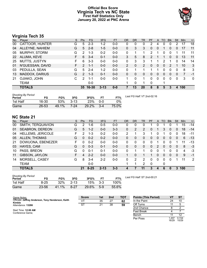# **Official Box Score Virginia Tech vs NC State First Half Statistics Only January 20, 2022 at PNC Arena**



# **Virginia Tech 35**

| No. | Plaver                | S  | <b>Pts</b>    | <b>FG</b> | 3FG      | <b>FT</b> | <b>OR</b> | DR       | TR | PF | A        | TO       | <b>Blk</b>   | Stl      | Min | $+/-$        |
|-----|-----------------------|----|---------------|-----------|----------|-----------|-----------|----------|----|----|----------|----------|--------------|----------|-----|--------------|
| 00  | CATTOOR, HUNTER       | G  | 5             | $2 - 3$   | $1 - 2$  | $0-0$     | 0         | 0        | 0  | 2  | 4        | 0        | 0            | 2        | 17  | 18           |
| 04  | ALLEYNE, NAHIEM       | G  | 5             | $2 - 8$   | $1 - 5$  | $0 - 0$   | 0         | 3        | 3  | 0  | 0        |          | $\Omega$     | 0        | 17  | 11           |
| 05  | MURPHY, STORM         | G  | 2             | $1 - 3$   | $0 - 2$  | $0-0$     | 0         | 1        |    | 2  |          | 0        | 0            |          | 11  | 11           |
| 22  | ALUMA, KEVE           | F. | 6             | $3 - 4$   | $0 - 1$  | $0 - 0$   | 3.        | 5        | 8  | 2  |          |          | $\mathbf{0}$ | 0        | 13  | 11           |
| 25  | MUTTS, JUSTYN         | F. | 6             | $3 - 3$   | $0 - 0$  | $0 - 0$   | 0         | 3        | 3  |    |          | 2        |              | 0        | 14  | 14           |
| 01  | N'GUESSAN, DAVID      | F. | 2             | $1 - 1$   | $0 - 0$  | $0 - 0$   | 2         | $\Omega$ | 2  | 0  | $\Omega$ | $\Omega$ | 2            |          | 10  | 3            |
| 03  | PEDULLA, SEAN         | G  | 5             | $2 - 4$   | $1 - 2$  | $0 - 0$   | 0         |          |    |    |          | 0        | $\Omega$     | 0        | 8   | 3            |
| 13  | <b>MADDOX, DARIUS</b> | G  | $\mathcal{P}$ | $1 - 3$   | $0 - 1$  | $0 - 0$   | 0         | 0        | 0  | 0  | 0        | $\Omega$ | $\Omega$     | $\Omega$ | 7   | -1           |
| 21  | OJIAKO, JOHN          | C  | 2             | 1-1       | $0 - 0$  | $0 - 0$   | 1.        | $\Omega$ | 1  | 0  | 0        | 0        | $\Omega$     | 0        | 3   | $\mathbf{0}$ |
|     | <b>TEAM</b>           |    |               | $0-0$     |          |           | 1         | $\Omega$ | 1  | 0  |          | 1        |              |          |     |              |
|     | <b>TOTALS</b>         |    | 35.           | 16-30     | $3 - 13$ | $0 - 0$   |           | 13       | 20 | 8  | 8        | 5        |              | 4        | 100 |              |

| <b>Shooting By Period</b><br>Period | FG    | FG%   | 3FG    | 3FG%  | FТ      | FT%   | Last FG Half: VT 2nd-02:16 |
|-------------------------------------|-------|-------|--------|-------|---------|-------|----------------------------|
| 1st Half                            | 16-30 | 53%   | $3-13$ | 23%   | 0-0     | 0%    |                            |
| Game                                | 26-53 | 49.1% | 7-24   | 29.2% | $3 - 4$ | 75.0% |                            |

# **NC State 21**

| No. | Player                   | S  | <b>Pts</b>    | <b>FG</b> | 3FG      | <b>FT</b> | <b>OR</b> | <b>DR</b> | <b>TR</b> | PF       | A        | TO | <b>Blk</b>     | Stl      | Min | $+/-$ |
|-----|--------------------------|----|---------------|-----------|----------|-----------|-----------|-----------|-----------|----------|----------|----|----------------|----------|-----|-------|
| 00  | SMITH, TERQUAVION        | G  | 2             | 1-6       | $0 - 5$  | $0 - 0$   | 0         | 0         | 0         |          | 0        |    | 0              |          | 15  | $-14$ |
| 01  | SEABRON, DEREON          | G  | 5             | $1 - 2$   | $0 - 0$  | $3 - 3$   | $\Omega$  | 2         | 2         | 0        |          | 3  | $\Omega$       | $\Omega$ | 18  | $-14$ |
| 04  | <b>HELLEMS, JERICOLE</b> | F  | $\mathcal{P}$ | 1-3       | $0 - 2$  | $0-0$     | 2         |           | 3         |          | 0        |    | 0              | 0        | 18  | $-11$ |
| 05  | ALLEN, THOMAS            | G  | 0             | $0 - 2$   | $0 - 2$  | $0 - 0$   | 0         | 0         | 0         | 0        | 0        | 0  | $\overline{0}$ | 0        | 6   | $-13$ |
| 21  | DOWUONA, EBENEZER        | F. | 0             | $0 - 2$   | $0 - 0$  | $0 - 0$   | 0         | 0         | 0         | 0        |          | 0  | 0              |          | 11  | $-13$ |
| 03  | HAYES, CAM               | G  | $\Omega$      | $0 - 3$   | $0 - 1$  | $0 - 0$   | 0         | 0         | $\Omega$  | $\Omega$ | 2        | 0  | $\overline{0}$ | 0        | 8   | -3    |
| 10  | PASS, BREON              | G  | $\Omega$      | $0 - 1$   | $0 - 1$  | $0 - 0$   | $\Omega$  |           |           | 0        | 0        |    | 0              | $\Omega$ | 4   | -3    |
| 11  | GIBSON, JAYLON           | F. | 4             | $2 - 2$   | $0 - 0$  | $0 - 0$   |           | 0         |           |          | $\Omega$ | 0  | $\Omega$       | 0        | 9   | $-1$  |
| 14  | MORSELL, CASEY           | G  | 8             | 3-4       | $2 - 2$  | $0 - 0$   | $\Omega$  | 2         | 2         | 0        | 0        | 0  | 0              |          | 11  | 2     |
|     | TEAM                     |    |               | $0 - 0$   |          |           |           | 1         | 2         | $\Omega$ |          | 0  |                |          |     |       |
|     | <b>TOTALS</b>            |    | 21            | $8 - 25$  | $2 - 13$ | $3 - 3$   | 4         |           | 11        | 3        | 4        | 6  | 0              | 3        | 100 |       |

| <b>Shooting By Period</b><br>Period | FG       | FG%      | 3FG      | 3FG%  |       | FT%   |
|-------------------------------------|----------|----------|----------|-------|-------|-------|
| 1st Half                            | $8 - 25$ | 32%      | $2 - 13$ | 15%   | $3-3$ | 100%  |
| Game                                | 23-56    | $41.1\%$ | $8-27$   | 29.6% | $5-9$ | 55.6% |

*Last FG Half:* ST 2nd-00:21

| Game Notes:                                                  | <b>Score</b> | 1st | 2 <sub>nd</sub> | <b>TOT</b> | <b>Points (This Period)</b> |               | S1             |
|--------------------------------------------------------------|--------------|-----|-----------------|------------|-----------------------------|---------------|----------------|
| Officials: Jeffrey Anderson, Tony Henderson, Keith<br>Kimble | VT           | 35  | 27              | 62         | In the Paint                | 24            | 10             |
| Attendance: 13286                                            | ST           | 21  | 38              | 59         | Off Turns                   |               |                |
|                                                              |              |     |                 |            | 2nd Chance                  |               |                |
| Start Time: 12:00 AM<br>Conference Game;                     |              |     |                 |            | <b>Fast Break</b>           |               |                |
|                                                              |              |     |                 |            | Bench                       |               | ィク             |
|                                                              |              |     |                 |            | Per Poss                    | .207<br>16/29 | 0.724<br>10/29 |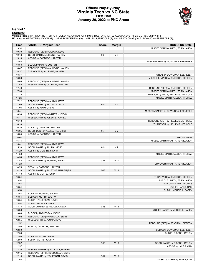## **Official Play-By-Play Virginia Tech vs NC State First Half January 20, 2022 at PNC Arena**



#### **Period 1**

<mark>Starters:</mark><br>Virginia Tech: 0 CATTOOR,HUNTER (G); 4 ALLEYNE,NAHIEM (G); 5 MURPHY,STORM (G); 22 ALUMA,KEVE (F); 25 MUTTS,JUSTYN (F);<br>NC State: 0 SMITH,TERQUAVION (G); 1 SEABRON,DEREON (G); 4 HELLEMS,JERICOLE (F); 5 ALLEN,TH

|               |                                     | <b>Score</b> |                 |                                    |
|---------------|-------------------------------------|--------------|-----------------|------------------------------------|
| Time<br>19:34 | <b>VISITORS: Virginia Tech</b>      |              | <b>Margin</b>   | <b>HOME: NC State</b>              |
| 19:30         | REBOUND (DEF) by ALUMA, KEVE        |              |                 | MISSED 3PTR by SMITH, TERQUAVION   |
| 19:13         | GOOD! 3PTR by ALLEYNE, NAHIEM       | $0 - 3$      | $V_3$           |                                    |
| 19:13         | ASSIST by CATTOOR, HUNTER           |              |                 |                                    |
| 18:53         |                                     |              |                 | MISSED LAYUP by DOWUONA, EBENEZER  |
| 18:53         | BLOCK by MUTTS, JUSTYN              |              |                 |                                    |
| 18:47         | REBOUND (DEF) by ALLEYNE, NAHIEM    |              |                 |                                    |
| 18:37         | TURNOVER by ALLEYNE, NAHIEM         |              |                 |                                    |
| 18:37         |                                     |              |                 | STEAL by DOWUONA, EBENEZER         |
| 18:08         |                                     |              |                 | MISSED JUMPER by SEABRON, DEREON   |
|               |                                     |              |                 |                                    |
| 18:05         | REBOUND (DEF) by ALLEYNE, NAHIEM    |              |                 |                                    |
| 17:52         | MISSED 3PTR by CATTOOR, HUNTER      |              |                 |                                    |
| 17:49         |                                     |              |                 | REBOUND (DEF) by SEABRON, DEREON   |
| 17:36         |                                     |              |                 | MISSED 3PTR by SMITH, TERQUAVION   |
| 17:32         |                                     |              |                 | REBOUND (OFF) by HELLEMS, JERICOLE |
| 17:26         |                                     |              |                 | MISSED 3PTR by ALLEN, THOMAS       |
| 17:22         | REBOUND (DEF) by ALUMA, KEVE        |              |                 |                                    |
| 17:05         | GOOD! LAYUP by MUTTS, JUSTYN        | $0-5$        | V <sub>5</sub>  |                                    |
| 17:05         | ASSIST by ALUMA, KEVE               |              |                 |                                    |
| 16:41         |                                     |              |                 | MISSED JUMPER by DOWUONA, EBENEZER |
| 16:38         | REBOUND (DEF) by MUTTS, JUSTYN      |              |                 |                                    |
| 16:17         | MISSED 3PTR by ALLEYNE, NAHIEM      |              |                 |                                    |
| 16:13         |                                     |              |                 | REBOUND (DEF) by HELLEMS, JERICOLE |
| 16:10         |                                     |              |                 | TURNOVER by HELLEMS, JERICOLE      |
| 16:10         | STEAL by CATTOOR, HUNTER            |              |                 |                                    |
| 16:05         | GOOD! DUNK by ALUMA, KEVE [FB]      | $0 - 7$      | V <sub>7</sub>  |                                    |
| 16:05         | ASSIST by CATTOOR, HUNTER           |              |                 |                                    |
| 16:04         |                                     |              |                 | <b>TIMEOUT TEAM</b>                |
| 15:44         |                                     |              |                 | MISSED 3PTR by SMITH, TERQUAVION   |
| 15:41         | REBOUND (DEF) by ALUMA, KEVE        |              |                 |                                    |
| 15:20         | GOOD! LAYUP by ALUMA, KEVE          | $0-9$        | V <sub>9</sub>  |                                    |
| 15:20         | ASSIST by MURPHY, STORM             |              |                 |                                    |
| 14:53         |                                     |              |                 | MISSED 3PTR by ALLEN, THOMAS       |
| 14:50         | REBOUND (DEF) by ALUMA, KEVE        |              |                 |                                    |
| 14:42         | GOOD! LAYUP by MURPHY, STORM        | $0 - 11$     | V <sub>11</sub> |                                    |
| 14:23         |                                     |              |                 | TURNOVER by SMITH, TERQUAVION      |
| 14:23         | STEAL by CATTOOR, HUNTER            |              |                 |                                    |
| 14:18         | GOOD! LAYUP by ALLEYNE, NAHIEM [FB] | $0 - 13$     | V <sub>13</sub> |                                    |
| 14:18         | ASSIST by MUTTS, JUSTYN             |              |                 |                                    |
| 13:54         |                                     |              |                 | TURNOVER by SEABRON, DEREON        |
| 13:54         |                                     |              |                 | SUB OUT: SMITH, TERQUAVION         |
| 13:54         |                                     |              |                 | SUB OUT: ALLEN, THOMAS             |
| 13:54         |                                     |              |                 | SUB IN: HAYES, CAM                 |
| 13:54         |                                     |              |                 | SUB IN: MORSELL, CASEY             |
| 13:54         | SUB OUT: MURPHY, STORM              |              |                 |                                    |
| 13:54         | SUB OUT: MUTTS, JUSTYN              |              |                 |                                    |
| 13:54         | SUB IN: N'GUESSAN, DAVID            |              |                 |                                    |
| 13:54         | SUB IN: PEDULLA, SEAN               |              |                 |                                    |
| 13:33         | GOOD! JUMPER by PEDULLA, SEAN       | $0 - 15$     | V <sub>15</sub> |                                    |
| 13:08         |                                     |              |                 | MISSED LAYUP by MORSELL, CASEY     |
| 13:08         | BLOCK by N'GUESSAN, DAVID           |              |                 |                                    |
| 13:02         | REBOUND (DEF) by PEDULLA, SEAN      |              |                 |                                    |
| 12:55         | MISSED 3PTR by ALUMA, KEVE          |              |                 |                                    |
| 12:52         |                                     |              |                 | REBOUND (DEF) by SEABRON, DEREON   |
| 12:50         | FOUL by CATTOOR, HUNTER             |              |                 |                                    |
| 12:50         |                                     |              |                 | SUB OUT: DOWUONA, EBENEZER         |
| 12:50         |                                     |              |                 | SUB IN: GIBSON, JAYLON             |
| 12:50         | SUB OUT: ALUMA, KEVE                |              |                 |                                    |
| 12:50         | SUB IN: MUTTS, JUSTYN               |              |                 |                                    |
| 12:37         |                                     | $2 - 15$     | V <sub>13</sub> | GOOD! LAYUP by GIBSON, JAYLON      |
| 12:37         |                                     |              |                 | ASSIST by HAYES, CAM               |
| 12:20         | MISSED JUMPER by ALLEYNE, NAHIEM    |              |                 |                                    |
| 12:15         | REBOUND (OFF) by N'GUESSAN, DAVID   |              |                 |                                    |
| 12:15         | GOOD! LAYUP by N'GUESSAN, DAVID     | $2 - 17$     | V <sub>15</sub> |                                    |
| 11:55         |                                     |              |                 | MISSED JUMPER by HAYES, CAM        |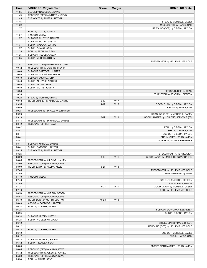| Time           | <b>VISITORS: Virginia Tech</b>                           | <b>Score</b> | <b>Margin</b>   | <b>HOME: NC State</b>                  |
|----------------|----------------------------------------------------------|--------------|-----------------|----------------------------------------|
| 11:55          | BLOCK by N'GUESSAN, DAVID                                |              |                 |                                        |
| 11:49          | REBOUND (DEF) by MUTTS, JUSTYN                           |              |                 |                                        |
| 11:45          | TURNOVER by MUTTS, JUSTYN                                |              |                 |                                        |
| 11:45          |                                                          |              |                 | STEAL by MORSELL, CASEY                |
| 11:39          |                                                          |              |                 | MISSED 3PTR by HAYES, CAM              |
| 11:37          |                                                          |              |                 | REBOUND (OFF) by GIBSON, JAYLON        |
| 11:37          | FOUL by MUTTS, JUSTYN                                    |              |                 |                                        |
| 11:37          | <b>TIMEOUT MEDIA</b>                                     |              |                 |                                        |
| 11:37          | SUB OUT: ALLEYNE, NAHIEM                                 |              |                 |                                        |
| 11:37          | SUB OUT: MUTTS, JUSTYN                                   |              |                 |                                        |
| 11:37          | SUB IN: MADDOX, DARIUS                                   |              |                 |                                        |
| 11:37          | SUB IN: OJIAKO, JOHN                                     |              |                 |                                        |
| 11:25          | FOUL by PEDULLA, SEAN                                    |              |                 |                                        |
| 11:25          | SUB OUT: PEDULLA, SEAN                                   |              |                 |                                        |
| 11:25          | SUB IN: MURPHY, STORM                                    |              |                 |                                        |
| 11:11          |                                                          |              |                 | MISSED 3PTR by HELLEMS, JERICOLE       |
| 11:07<br>10:42 | REBOUND (DEF) by MURPHY, STORM                           |              |                 |                                        |
| 10:40          | MISSED 3PTR by MURPHY, STORM<br>SUB OUT: CATTOOR, HUNTER |              |                 |                                        |
| 10:40          | SUB OUT: N'GUESSAN, DAVID                                |              |                 |                                        |
| 10:40          | SUB OUT: OJIAKO, JOHN                                    |              |                 |                                        |
| 10:40          | SUB IN: ALLEYNE, NAHIEM                                  |              |                 |                                        |
| 10:40          | SUB IN: ALUMA, KEVE                                      |              |                 |                                        |
| 10:40          | SUB IN: MUTTS, JUSTYN                                    |              |                 |                                        |
| 10:38          |                                                          |              |                 | REBOUND (DEF) by TEAM                  |
| 10:28          |                                                          |              |                 | TURNOVER by SEABRON, DEREON            |
| 10:28          | STEAL by MURPHY, STORM                                   |              |                 |                                        |
| 10:13          | GOOD! JUMPER by MADDOX, DARIUS                           | $2 - 19$     | V 17            |                                        |
| 09:55          |                                                          | $4 - 19$     | V <sub>15</sub> | GOOD! DUNK by GIBSON, JAYLON           |
| 09:55          |                                                          |              |                 | ASSIST by HAYES, CAM                   |
| 09:27          | MISSED JUMPER by ALLEYNE, NAHIEM                         |              |                 |                                        |
| 09:23          |                                                          |              |                 | REBOUND (DEF) by MORSELL, CASEY        |
| 09:19          |                                                          | $6 - 19$     | V <sub>13</sub> | GOOD! JUMPER by HELLEMS, JERICOLE [FB] |
| 08:44          | MISSED JUMPER by MADDOX, DARIUS                          |              |                 |                                        |
| 08:42          | REBOUND (OFF) by TEAM                                    |              |                 |                                        |
| 08:42          |                                                          |              |                 | FOUL by GIBSON, JAYLON                 |
| 08:41          |                                                          |              |                 | SUB OUT: HAYES, CAM                    |
| 08:41          |                                                          |              |                 | SUB OUT: GIBSON, JAYLON                |
| 08:41          |                                                          |              |                 | SUB IN: SMITH, TERQUAVION              |
| 08:41          |                                                          |              |                 | SUB IN: DOWUONA, EBENEZER              |
| 08:41          | SUB OUT: MADDOX, DARIUS                                  |              |                 |                                        |
| 08:41          | SUB IN: CATTOOR, HUNTER                                  |              |                 |                                        |
| 08:25          | TURNOVER by MUTTS, JUSTYN                                |              |                 |                                        |
| 08:25          |                                                          |              |                 | STEAL by SMITH, TERQUAVION             |
| 08:20          |                                                          | $8 - 19$     | V <sub>11</sub> | GOOD! LAYUP by SMITH, TERQUAVION [FB]  |
| 08:05          | MISSED 3PTR by ALLEYNE, NAHIEM                           |              |                 |                                        |
| 08:00          | REBOUND (OFF) by ALUMA, KEVE                             |              |                 |                                        |
| 08:00          | GOOD! LAYUP by ALUMA, KEVE                               | $8 - 21$     | V <sub>13</sub> |                                        |
| 07:45          |                                                          |              |                 | MISSED 3PTR by HELLEMS, JERICOLE       |
| 07:40          |                                                          |              |                 | REBOUND (OFF) by TEAM                  |
| 07:40          | <b>TIMEOUT MEDIA</b>                                     |              |                 |                                        |
| 07:40          |                                                          |              |                 | SUB OUT: SEABRON, DEREON               |
| 07:40          |                                                          |              |                 | SUB IN: PASS, BREON                    |
| 07:27          |                                                          | 10-21        | V <sub>11</sub> | GOOD! LAYUP by MORSELL, CASEY          |
| 07:10          |                                                          |              |                 | FOUL by HELLEMS, JERICOLE              |
| 06:59          | MISSED 3PTR by MURPHY, STORM                             |              |                 |                                        |
| 06:54          | REBOUND (OFF) by ALUMA, KEVE                             |              |                 |                                        |
| 06:49          | GOOD! DUNK by MUTTS, JUSTYN                              | $10 - 23$    | V <sub>13</sub> |                                        |
| 06:49          | ASSIST by CATTOOR, HUNTER                                |              |                 |                                        |
| 06:24          | FOUL by MURPHY, STORM                                    |              |                 |                                        |
| 06:24          |                                                          |              |                 | SUB OUT: DOWUONA, EBENEZER             |
| 06:24          |                                                          |              |                 | SUB IN: GIBSON, JAYLON                 |
| 06:24          | SUB OUT: MUTTS, JUSTYN                                   |              |                 |                                        |
| 06:24          | SUB IN: N'GUESSAN, DAVID                                 |              |                 |                                        |
| 06:12          |                                                          |              |                 | MISSED 3PTR by PASS, BREON             |
| 06:12          |                                                          |              |                 | REBOUND (OFF) by HELLEMS, JERICOLE     |
| 06:12<br>06:12 | FOUL by MURPHY, STORM                                    |              |                 | SUB OUT: MORSELL, CASEY                |
| 06:12          |                                                          |              |                 | SUB IN: HAYES, CAM                     |
| 06:12          | SUB OUT: MURPHY, STORM                                   |              |                 |                                        |
| 06:12          | SUB IN: PEDULLA, SEAN                                    |              |                 |                                        |
| 06:09          |                                                          |              |                 | MISSED 3PTR by SMITH, TERQUAVION       |
| 06:05          | REBOUND (DEF) by ALUMA, KEVE                             |              |                 |                                        |
| 05:42          | MISSED 3PTR by ALLEYNE, NAHIEM                           |              |                 |                                        |
| 05:39          | REBOUND (OFF) by ALUMA, KEVE                             |              |                 |                                        |
| 05:34          | FOUL by ALUMA, KEVE                                      |              |                 |                                        |
|                |                                                          |              |                 |                                        |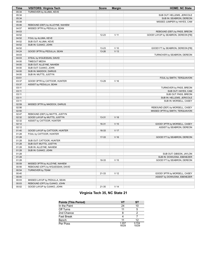| <b>Time</b>    | <b>VISITORS: Virginia Tech</b>    | <b>Score</b> | <b>Margin</b>   | <b>HOME: NC State</b>               |
|----------------|-----------------------------------|--------------|-----------------|-------------------------------------|
| 05:34          | TURNOVER by ALUMA, KEVE           |              |                 |                                     |
| 05:34          |                                   |              |                 | SUB OUT: HELLEMS, JERICOLE          |
| 05:34          |                                   |              |                 | SUB IN: SEABRON, DEREON             |
| 05:08          |                                   |              |                 | MISSED JUMPER by HAYES, CAM         |
| 05:06          | REBOUND (DEF) by ALLEYNE, NAHIEM  |              |                 |                                     |
| 04:57          | MISSED 3PTR by PEDULLA, SEAN      |              |                 |                                     |
| 04:53          |                                   |              |                 | REBOUND (DEF) by PASS, BREON        |
| 04:52          |                                   | 12-23        | $V$ 11          | GOOD! LAYUP by SEABRON, DEREON [FB] |
| 04:52          | FOUL by ALUMA, KEVE               |              |                 |                                     |
| 04:52          | SUB OUT: ALUMA, KEVE              |              |                 |                                     |
| 04:52          | SUB IN: OJIAKO, JOHN              |              |                 |                                     |
| 04:52          |                                   | 13-23        | $V$ 10          | GOOD! FT by SEABRON, DEREON [FB]    |
| 04:24          | GOOD! 3PTR by PEDULLA, SEAN       | 13-26        | V <sub>13</sub> |                                     |
| 04:03          |                                   |              |                 | TURNOVER by SEABRON, DEREON         |
| 04:03          | STEAL by N'GUESSAN, DAVID         |              |                 |                                     |
| 04:00          | <b>TIMEOUT MEDIA</b>              |              |                 |                                     |
| 04:00          | SUB OUT: ALLEYNE, NAHIEM          |              |                 |                                     |
| 04:00          | SUB OUT: OJIAKO, JOHN             |              |                 |                                     |
| 04:00          | SUB IN: MADDOX, DARIUS            |              |                 |                                     |
| 04:00          | SUB IN: MUTTS, JUSTYN             |              |                 |                                     |
| 03:51          |                                   |              |                 | FOUL by SMITH, TERQUAVION           |
| 03:37          | GOOD! 3PTR by CATTOOR, HUNTER     | 13-29        | V <sub>16</sub> |                                     |
| 03:37          | ASSIST by PEDULLA, SEAN           |              |                 |                                     |
| 03:11          |                                   |              |                 | TURNOVER by PASS, BREON             |
| 03:11          |                                   |              |                 | SUB OUT: HAYES, CAM                 |
| 03:11          |                                   |              |                 | SUB OUT: PASS, BREON                |
| 03:11          |                                   |              |                 | SUB IN: HELLEMS, JERICOLE           |
| 03:11          |                                   |              |                 | SUB IN: MORSELL, CASEY              |
| 02:59          | MISSED 3PTR by MADDOX, DARIUS     |              |                 |                                     |
| 02:56          |                                   |              |                 | REBOUND (DEF) by MORSELL, CASEY     |
| 02:50          |                                   |              |                 | MISSED 3PTR by SMITH, TERQUAVION    |
| 02:47          | REBOUND (DEF) by MUTTS, JUSTYN    |              |                 |                                     |
| 02:32          | GOOD! LAYUP by MUTTS, JUSTYN      | 13-31        | V <sub>18</sub> |                                     |
| 02:32<br>02:12 | ASSIST by CATTOOR, HUNTER         | 16-31        | V <sub>15</sub> |                                     |
| 02:12          |                                   |              |                 | GOOD! 3PTR by MORSELL, CASEY        |
| 01:40          | GOOD! LAYUP by CATTOOR, HUNTER    | 16-33        | V 17            | ASSIST by SEABRON, DEREON           |
| 01:28          | FOUL by CATTOOR, HUNTER           |              |                 |                                     |
| 01:28          |                                   | 17-33        | V <sub>16</sub> | GOOD! FT by SEABRON, DEREON         |
| 01:28          | SUB OUT: CATTOOR, HUNTER          |              |                 |                                     |
| 01:28          | SUB OUT: MUTTS, JUSTYN            |              |                 |                                     |
| 01:28          | SUB IN: ALLEYNE, NAHIEM           |              |                 |                                     |
| 01:28          | SUB IN: OJIAKO, JOHN              |              |                 |                                     |
| 01:28          |                                   |              |                 | SUB OUT: GIBSON, JAYLON             |
| 01:28          |                                   |              |                 | SUB IN: DOWUONA, EBENEZER           |
| 01:28          |                                   | 18-33        | V <sub>15</sub> | GOOD! FT by SEABRON, DEREON         |
| 00:59          | MISSED 3PTR by ALLEYNE, NAHIEM    |              |                 |                                     |
| 00:56          | REBOUND (OFF) by N'GUESSAN, DAVID |              |                 |                                     |
| 00:54          | TURNOVER by TEAM                  |              |                 |                                     |
| 00:40          |                                   | 21-33        | V <sub>12</sub> | GOOD! 3PTR by MORSELL, CASEY        |
| 00:40          |                                   |              |                 | ASSIST by DOWUONA, EBENEZER         |
| 00:03          | MISSED LAYUP by PEDULLA, SEAN     |              |                 |                                     |
| 00:03          | REBOUND (OFF) by OJIAKO, JOHN     |              |                 |                                     |
| 00:02          | GOOD! LAYUP by OJIAKO, JOHN       | 21-35        | $V$ 14          |                                     |

# **Virginia Tech 35, NC State 21**

| <b>Points (This Period)</b> | VТ             | SТ             |
|-----------------------------|----------------|----------------|
| In the Paint                | 24             | 10             |
| Off Turns                   | 11             | 5              |
| 2nd Chance                  | 8              |                |
| <b>Fast Break</b>           |                |                |
| Bench                       | 11             | 12             |
| Per Poss                    | 1.207<br>16/29 | 0.724<br>10/29 |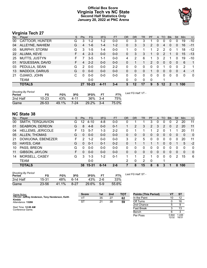# **Official Box Score Virginia Tech vs NC State Second Half Statistics Only January 20, 2022 at PNC Arena**



# **Virginia Tech 27**

| No. | Player           | S  | Pts           | FG        | 3FG     | <b>FT</b> | <b>OR</b> | <b>DR</b> | <b>TR</b> | PF       | A        | <b>TO</b> | <b>B</b> lk | Stl      | <b>Min</b>  | $+/-$        |
|-----|------------------|----|---------------|-----------|---------|-----------|-----------|-----------|-----------|----------|----------|-----------|-------------|----------|-------------|--------------|
| 00  | CATTOOR, HUNTER  | G  | 3             | $1 - 2$   | $1-2$   | $0-0$     | 0         | 3         | 3         |          | 0        | 0         | $\Omega$    | 0        | 19          | $-10$        |
| 04  | ALLEYNE, NAHIEM  | G  | 4             | $1 - 6$   | $1 - 4$ | $1 - 2$   | 0         | 3         | 3         | 2        | 0        | 4         | $\Omega$    | 0        | 16          | $-11$        |
| 05  | MURPHY, STORM    | G  | 3             | $1 - 5$   | $1 - 4$ | $0-0$     | 1         | 0         | 1         | 4        | 2        | 2         | 0           | 1        | 18          | $-12$        |
| 22  | ALUMA, KEVE      | F. | 4             | $2 - 3$   | $0 - 0$ | $0 - 0$   | 0         | 3         | 3         |          | 0        | 2         |             | 0        | 15          | $-13$        |
| 25  | MUTTS, JUSTYN    | F. |               | $3 - 5$   | $1 - 1$ | $0-0$     | 4         | 2         | 6         | 1        | 3        | 2         |             | $\Omega$ | 19          | $-10$        |
| 01  | N'GUESSAN, DAVID | F. | 4             | $2 - 2$   | $0 - 0$ | $0 - 0$   | 0         |           |           | 2        | $\Omega$ | $\Omega$  | $\Omega$    | 0        | 6           | $\mathbf{1}$ |
| 03  | PEDULLA, SEAN    | G  | $\mathcal{P}$ | $0 - 0$   | $0 - 0$ | $2 - 2$   | 0         | 0         | 0         | 0        | 0        |           | 0           | 0        | 2           | 1            |
| 13  | MADDOX, DARIUS   | G  | $\Omega$      | $0 - 0$   | $0 - 0$ | $0 - 0$   | 0         | 0         | 0         |          | 0        | $\Omega$  | $\Omega$    | 0        | 4           | -1           |
| 21  | OJIAKO, JOHN     | C  | $\Omega$      | $0 - 0$   | $0 - 0$ | $0-0$     | $\Omega$  | $\Omega$  | 0         | 0        | $\Omega$ | $\Omega$  | $\Omega$    | 0        | $\mathbf 0$ | $\mathbf 0$  |
|     | <b>TEAM</b>      |    |               | $0 - 0$   |         |           | 0         | 0         | $\Omega$  | $\Omega$ |          |           |             |          |             |              |
|     | <b>TOTALS</b>    |    | 27            | $10 - 23$ | 4-11    | $3 - 4$   | 5         | $12 \,$   | 17        | 9        | 5.       | 12        | 2           | 1        | 100         |              |

| <b>Shooting By Period</b><br>Period | FG        | FG%   | 3FG      | 3FG%  | FТ         | FT%   | Last FG Half: VT - |
|-------------------------------------|-----------|-------|----------|-------|------------|-------|--------------------|
| 2nd Half                            | $10 - 23$ | 43%   | 4-11     | 36%   | $3-4$      | 75%   |                    |
| Game                                | 26-53     | 49.1% | $7 - 24$ | 29.2% | $\sim$ 3-4 | 75.0% |                    |

# **NC State 38**

| No. | Player                   | S | <b>Pts</b>      | FG        | 3FG      | <b>FT</b> | <b>OR</b> | <b>DR</b> | TR       | <b>PF</b>      | A            | TO       | <b>Blk</b> | Stl      | Min          | $+/-$          |
|-----|--------------------------|---|-----------------|-----------|----------|-----------|-----------|-----------|----------|----------------|--------------|----------|------------|----------|--------------|----------------|
| 00  | SMITH, TERQUAVION        | G | 12 <sup>2</sup> | $4 - 10$  | $4 - 8$  | $0-0$     | 0         |           |          | 3              | 0            | 0        | 0          | 2        | 20           | 11             |
| 01  | <b>SEABRON, DEREON</b>   | G | 8               | $4 - 8$   | $0 - 0$  | $0 - 1$   |           | 2         | 3        | $\overline{2}$ | 3            | 2        | 0          | 2        | 20           | 11             |
| 04  | <b>HELLEMS, JERICOLE</b> | F | 13              | $5 - 7$   | 1-3      | $2 - 2$   | 0         |           |          |                | 2            | 0        |            |          | 20           | 11             |
| 05  | <b>ALLEN, THOMAS</b>     | G | $\Omega$        | $0 - 0$   | $0 - 0$  | $0 - 0$   | 0         | 0         | $\Omega$ | 0              | $\mathbf{0}$ | 0        | 0          | $\Omega$ | $\mathbf{0}$ | $\overline{0}$ |
| 21  | DOWUONA, EBENEZER        | F | 2               | $1 - 2$   | $0 - 0$  | $0 - 0$   | 3         | 2         | 5        | 0              | 0            | $\Omega$ | 0          | $\Omega$ | 20           | 11             |
| 03  | HAYES, CAM               | G | 0               | $0 - 1$   | $0 - 1$  | $0 - 2$   | 0         |           |          |                |              | 0        | 0          |          | 5            | $-2$           |
| 10  | PASS, BREON              | G | 0               | $0 - 0$   | $0 - 0$  | $0-0$     | 0         | 0         | 0        | 0              | 0            | 0        | 0          | 0        | $\mathbf 0$  | 0              |
| 11  | GIBSON, JAYLON           | F | 0               | $0 - 0$   | $0 - 0$  | $0 - 0$   | 0         | 0         | 0        | 0              | 0            | 0        | 0          | 0        | $\mathbf{0}$ | $\mathbf{0}$   |
| 14  | MORSELL, CASEY           | G | 3               | $1 - 3$   | $1 - 2$  | $0 - 1$   |           |           | 2        |                | 0            | 0        | 0          | 2        | 15           | 6              |
|     | <b>TEAM</b>              |   |                 | $0-0$     |          |           | 2         | $\Omega$  | 2        | $\Omega$       |              | 1        |            |          |              |                |
|     | <b>TOTALS</b>            |   | 38              | $15 - 31$ | $6 - 14$ | $2 - 6$   |           | 8         | 15       | 8              | 6            | 3        | л          | 8        | 100          |                |

| <b>Shooting By Period</b><br>Period | FG        | FG%   | 3FG  | 3FG%  | FТ    | FT%   | Last FG |
|-------------------------------------|-----------|-------|------|-------|-------|-------|---------|
| 2nd Half                            | 15-31     | 48%   | հ-14 | 43%   | $2-6$ | 33%   |         |
| Game                                | $23 - 56$ | 41.1% | 8-27 | 29.6% | $5-9$ | 55.6% |         |

*Last FG Half:* ST -

| Game Notes:                                                  | <b>Score</b> | 1st | 2 <sub>nd</sub> | <b>TOT</b> | <b>Points (This Period)</b> |                | S1             |
|--------------------------------------------------------------|--------------|-----|-----------------|------------|-----------------------------|----------------|----------------|
| Officials: Jeffrey Anderson, Tony Henderson, Keith<br>Kimble | VT           | 35  | 27              | 62         | In the Paint                | 10             | 12             |
| Attendance: 13286                                            | ST           | 21  | 38              | 59         | Off Turns                   |                | 16             |
|                                                              |              |     |                 |            | 2nd Chance                  |                |                |
| Start Time: 12:00 AM<br>Conference Game:                     |              |     |                 |            | <b>Fast Break</b>           |                | 13             |
|                                                              |              |     |                 |            | Bench                       |                |                |
|                                                              |              |     |                 |            | Per Poss                    | 0.844<br>12/32 | 1.226<br>16/31 |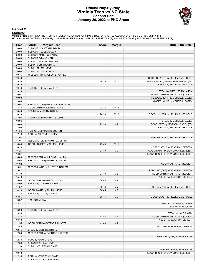## **Official Play-By-Play Virginia Tech vs NC State Second Half January 20, 2022 at PNC Arena**



**Period 2**

<mark>Starters:</mark><br>Virginia Tech: 0 CATTOOR,HUNTER (G); 4 ALLEYNE,NAHIEM (G); 5 MURPHY,STORM (G); 22 ALUMA,KEVE (F); 25 MUTTS,JUSTYN (F);<br>NC State: 0 SMITH,TERQUAVION (G); 1 SEABRON,DEREON (G); 4 HELLEMS,JERICOLE (F); 5 ALLEN,TH

| Time           | <b>VISITORS: Virginia Tech</b>   | <b>Score</b> | <b>Margin</b>   | <b>HOME: NC State</b>                                                      |
|----------------|----------------------------------|--------------|-----------------|----------------------------------------------------------------------------|
| 20:00          | SUB OUT: N'GUESSAN, DAVID        |              |                 |                                                                            |
| 20:00          | SUB OUT: PEDULLA, SEAN           |              |                 |                                                                            |
| 20:00          | SUB OUT: MADDOX, DARIUS          |              |                 |                                                                            |
| 20:00          | SUB OUT: OJIAKO, JOHN            |              |                 |                                                                            |
| 20:00          | SUB IN: CATTOOR, HUNTER          |              |                 |                                                                            |
| 20:00          | SUB IN: MURPHY, STORM            |              |                 |                                                                            |
| 20:00          | SUB IN: ALUMA, KEVE              |              |                 |                                                                            |
| 20:00          | SUB IN: MUTTS, JUSTYN            |              |                 |                                                                            |
| 19:46          | MISSED 3PTR by ALLEYNE, NAHIEM   |              |                 |                                                                            |
| 19:43<br>19:39 |                                  | 24-35        | $V$ 11          | REBOUND (DEF) by HELLEMS, JERICOLE<br>GOOD! 3PTR by SMITH, TERQUAVION [FB] |
| 19:39          |                                  |              |                 | ASSIST by HELLEMS, JERICOLE                                                |
| 19:13          | TURNOVER by ALUMA, KEVE          |              |                 |                                                                            |
| 19:13          |                                  |              |                 | STEAL by SMITH, TERQUAVION                                                 |
| 19:07          |                                  |              |                 | MISSED 3PTR by SMITH, TERQUAVION                                           |
| 19:03          |                                  |              |                 | REBOUND (OFF) by MORSELL, CASEY                                            |
| 19:03          |                                  |              |                 | MISSED LAYUP by MORSELL, CASEY                                             |
| 19:02          | REBOUND (DEF) by CATTOOR, HUNTER |              |                 |                                                                            |
| 18:43          | GOOD! 3PTR by ALLEYNE, NAHIEM    | 24-38        | V <sub>14</sub> |                                                                            |
| 18:43          | ASSIST by MURPHY, STORM          |              |                 |                                                                            |
| 18:13          |                                  | 26-38        | V <sub>12</sub> | GOOD! JUMPER by HELLEMS, JERICOLE                                          |
| 18:06          | TURNOVER by MURPHY, STORM        |              |                 |                                                                            |
| 18:06          |                                  |              |                 | STEAL by MORSELL, CASEY                                                    |
| 18:00          |                                  | 29-38        | V <sub>9</sub>  | GOOD! 3PTR by MORSELL, CASEY [FB]                                          |
| 18:00          |                                  |              |                 | ASSIST by HELLEMS, JERICOLE                                                |
| 17:36          | TURNOVER by MUTTS, JUSTYN        |              |                 |                                                                            |
| 17:16          | FOUL by ALLEYNE, NAHIEM          |              |                 |                                                                            |
| 17:04          |                                  |              |                 | MISSED 3PTR by HELLEMS, JERICOLE                                           |
| 17:01          | REBOUND (DEF) by MUTTS, JUSTYN   |              |                 |                                                                            |
| 16:40          | GOOD! JUMPER by ALUMA, KEVE      | 29-40        | V <sub>11</sub> |                                                                            |
| 16:29          |                                  |              |                 | MISSED LAYUP by SEABRON, DEREON                                            |
| 16:27          |                                  | $31 - 40$    | V <sub>9</sub>  | GOOD! LAYUP by DOWUONA, EBENEZER                                           |
| 16:24          |                                  |              |                 | REBOUND (OFF) by DOWUONA, EBENEZER                                         |
| 16:03<br>16:02 | MISSED 3PTR by ALLEYNE, NAHIEM   |              |                 |                                                                            |
| 16:02          | REBOUND (OFF) by MUTTS, JUSTYN   |              |                 |                                                                            |
| 15:51          | MISSED LAYUP by ALLEYNE, NAHIEM  |              |                 | FOUL by SMITH, TERQUAVION                                                  |
| 15:47          |                                  |              |                 | REBOUND (DEF) by SEABRON, DEREON                                           |
| 15:40          |                                  | 34-40        | $V_6$           | GOOD! 3PTR by SMITH, TERQUAVION                                            |
| 15:40          |                                  |              |                 | ASSIST by SEABRON, DEREON                                                  |
| 15:09          | GOOD! 3PTR by MUTTS, JUSTYN      | 34-43        | V <sub>9</sub>  |                                                                            |
| 15:09          | ASSIST by MURPHY, STORM          |              |                 |                                                                            |
| 14:37          |                                  | 36-43        | V <sub>7</sub>  | GOOD! JUMPER by HELLEMS, JERICOLE                                          |
| 14:13          | GOOD! LAYUP by ALUMA, KEVE       | 36-45        | V <sub>9</sub>  |                                                                            |
| 14:13          | ASSIST by MUTTS, JUSTYN          |              |                 |                                                                            |
| 13:55          |                                  | 38-45        | V <sub>7</sub>  | GOOD! LAYUP by HELLEMS, JERICOLE                                           |
| 13:37          | <b>TIMEOUT MEDIA</b>             |              |                 |                                                                            |
| 13:37          |                                  |              |                 | SUB OUT: MORSELL, CASEY                                                    |
| 13:37          |                                  |              |                 | SUB IN: HAYES, CAM                                                         |
| 13:26          | TURNOVER by ALUMA, KEVE          |              |                 |                                                                            |
| 13:26          |                                  |              |                 | STEAL by HAYES, CAM                                                        |
| 13:13          |                                  | 41-45        | V <sub>4</sub>  | GOOD! 3PTR by SMITH, TERQUAVION                                            |
| 13:13          |                                  |              |                 | ASSIST by SEABRON, DEREON                                                  |
| 12:55          | GOOD! 3PTR by CATTOOR, HUNTER    | 41-48        | V <sub>7</sub>  |                                                                            |
| 12:45          |                                  |              |                 | TURNOVER by SEABRON, DEREON                                                |
| 12:45          | STEAL by MURPHY, STORM           |              |                 |                                                                            |
| 12:38          | MISSED 3PTR by CATTOOR, HUNTER   |              |                 |                                                                            |
| 12:38          |                                  |              |                 | REBOUND (DEF) by HAYES, CAM                                                |
| 12:38          | FOUL by ALUMA, KEVE              |              |                 |                                                                            |
| 12:38          | SUB OUT: ALUMA, KEVE             |              |                 |                                                                            |
| 12:38          | SUB IN: N'GUESSAN, DAVID         |              |                 |                                                                            |
| 12:20<br>12:18 |                                  |              |                 | MISSED 3PTR by HAYES, CAM<br>REBOUND (OFF) by DOWUONA, EBENEZER            |
| 12:18          | FOUL by N'GUESSAN, DAVID         |              |                 |                                                                            |
| 12:18          | SUB OUT: ALLEYNE, NAHIEM         |              |                 |                                                                            |
|                |                                  |              |                 |                                                                            |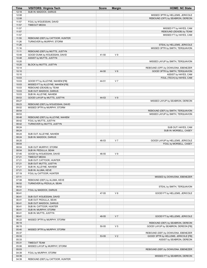| <b>Time</b>    | <b>VISITORS: Virginia Tech</b>                                        | <b>Score</b> | <b>Margin</b>  | <b>HOME: NC State</b>                                                   |
|----------------|-----------------------------------------------------------------------|--------------|----------------|-------------------------------------------------------------------------|
| 12:18          | SUB IN: MADDOX, DARIUS                                                |              |                |                                                                         |
| 12:08          |                                                                       |              |                | MISSED 3PTR by HELLEMS, JERICOLE                                        |
| 12:08          |                                                                       |              |                | REBOUND (OFF) by SEABRON, DEREON                                        |
| 11:57<br>11:57 | FOUL by N'GUESSAN, DAVID<br><b>TIMEOUT MEDIA</b>                      |              |                |                                                                         |
| 11:57          |                                                                       |              |                | MISSED FT by HAYES, CAM                                                 |
| 11:57          |                                                                       |              |                | REBOUND (DEADB) by TEAM                                                 |
| 11:57          |                                                                       |              |                | MISSED FT by HAYES, CAM                                                 |
| 11:55          | REBOUND (DEF) by CATTOOR, HUNTER                                      |              |                |                                                                         |
| 11:26          | TURNOVER by MURPHY, STORM                                             |              |                |                                                                         |
| 11:26          |                                                                       |              |                | STEAL by HELLEMS, JERICOLE                                              |
| 11:16          |                                                                       |              |                | MISSED 3PTR by SMITH, TERQUAVION                                        |
| 11:11          | REBOUND (DEF) by MUTTS, JUSTYN                                        |              | V <sub>9</sub> |                                                                         |
| 10:48<br>10:48 | GOOD! DUNK by N'GUESSAN, DAVID<br>ASSIST by MUTTS, JUSTYN             | 41-50        |                |                                                                         |
| 10:20          |                                                                       |              |                | MISSED LAYUP by SMITH, TERQUAVION                                       |
| 10:20          | BLOCK by MUTTS, JUSTYN                                                |              |                |                                                                         |
| 10:14          |                                                                       |              |                | REBOUND (OFF) by DOWUONA, EBENEZER                                      |
| 10:10          |                                                                       | 44-50        | $V_6$          | GOOD! 3PTR by SMITH, TERQUAVION                                         |
| 10:10          |                                                                       |              |                | ASSIST by HAYES, CAM                                                    |
| 10:03          |                                                                       |              |                | FOUL (TECH) by HAYES, CAM                                               |
| 10:03<br>10:03 | GOOD! FT by ALLEYNE, NAHIEM [FB]<br>MISSED FT by ALLEYNE, NAHIEM [FB] | 44-51        | V <sub>7</sub> |                                                                         |
| 10:03          | REBOUND (DEADB) by TEAM                                               |              |                |                                                                         |
| 10:03          | SUB OUT: MADDOX, DARIUS                                               |              |                |                                                                         |
| 10:03          | SUB IN: ALLEYNE, NAHIEM                                               |              |                |                                                                         |
| 09:53          | GOOD! LAYUP by MUTTS, JUSTYN                                          | 44-53        | V <sub>9</sub> |                                                                         |
| 09:27          |                                                                       |              |                | MISSED LAYUP by SEABRON, DEREON                                         |
| 09:23          | REBOUND (DEF) by N'GUESSAN, DAVID                                     |              |                |                                                                         |
| 09:02          | MISSED 3PTR by MURPHY, STORM                                          |              |                |                                                                         |
| 08:54<br>08:53 |                                                                       |              |                | REBOUND (DEF) by SMITH, TERQUAVION<br>MISSED LAYUP by SMITH, TERQUAVION |
| 08:48          | REBOUND (DEF) by ALLEYNE, NAHIEM                                      |              |                |                                                                         |
| 08:42          | FOUL by MUTTS, JUSTYN                                                 |              |                |                                                                         |
| 08:42          | TURNOVER by MUTTS, JUSTYN                                             |              |                |                                                                         |
| 08:24          |                                                                       |              |                | SUB OUT: HAYES, CAM                                                     |
| 08:24          |                                                                       |              |                | SUB IN: MORSELL, CASEY                                                  |
| 08:24<br>08:24 | SUB OUT: ALLEYNE, NAHIEM<br>SUB IN: MADDOX, DARIUS                    |              |                |                                                                         |
| 08:20          |                                                                       | 46-53        | V <sub>7</sub> | GOOD! LAYUP by HELLEMS, JERICOLE                                        |
| 08:04          |                                                                       |              |                | FOUL by MORSELL, CASEY                                                  |
| 08:04          | SUB OUT: MURPHY, STORM                                                |              |                |                                                                         |
| 08:04          | SUB IN: PEDULLA, SEAN                                                 |              |                |                                                                         |
| 07:45          | GOOD! by N'GUESSAN, DAVID                                             | 46-55        | V <sub>9</sub> |                                                                         |
| 07:21<br>07:21 | <b>TIMEOUT MEDIA</b><br>SUB OUT: CATTOOR, HUNTER                      |              |                |                                                                         |
| 07:21          | SUB OUT: MUTTS, JUSTYN                                                |              |                |                                                                         |
| 07:21          | SUB IN: ALLEYNE, NAHIEM                                               |              |                |                                                                         |
| 07:21          | SUB IN: ALUMA, KEVE                                                   |              |                |                                                                         |
| 07:19          | FOUL by CATTOOR, HUNTER                                               |              |                |                                                                         |
| 07:11          |                                                                       |              |                | MISSED by DOWUONA, EBENEZER                                             |
| 07:08<br>06:52 | REBOUND (DEF) by ALUMA, KEVE<br>TURNOVER by PEDULLA, SEAN             |              |                |                                                                         |
| 06:52          |                                                                       |              |                | STEAL by SMITH, TERQUAVION                                              |
| 06:41          | FOUL by MADDOX, DARIUS                                                |              |                |                                                                         |
| 06:41          |                                                                       | 47-55        | V8             | GOOD! FT by HELLEMS, JERICOLE                                           |
| 06:41          | SUB OUT: N'GUESSAN, DAVID                                             |              |                |                                                                         |
| 06:41          | SUB OUT: PEDULLA, SEAN                                                |              |                |                                                                         |
| 06:41          | SUB OUT: MADDOX, DARIUS                                               |              |                |                                                                         |
| 06:41<br>06:41 | SUB IN: CATTOOR, HUNTER<br>SUB IN: MURPHY, STORM                      |              |                |                                                                         |
| 06:41          | SUB IN: MUTTS, JUSTYN                                                 |              |                |                                                                         |
| 06:41          |                                                                       | 48-55        | V <sub>7</sub> | GOOD! FT by HELLEMS, JERICOLE                                           |
| 06:22          | MISSED 3PTR by MURPHY, STORM                                          |              |                |                                                                         |
| 06:19          |                                                                       |              |                | REBOUND (DEF) by SEABRON, DEREON                                        |
| 06:15          |                                                                       | 50-55        | V <sub>5</sub> | GOOD! LAYUP by SEABRON, DEREON [FB]                                     |
| 05:40<br>05:37 | MISSED 3PTR by MURPHY, STORM                                          |              |                | REBOUND (DEF) by DOWUONA, EBENEZER                                      |
| 05:33          |                                                                       | 53-55        | V <sub>2</sub> | GOOD! 3PTR by HELLEMS, JERICOLE [FB]                                    |
| 05:33          |                                                                       |              |                | ASSIST by SEABRON, DEREON                                               |
| 05:31          | <b>TIMEOUT TEAM</b>                                                   |              |                |                                                                         |
| 05:06          | MISSED LAYUP by MURPHY, STORM                                         |              |                |                                                                         |
| 05:03          |                                                                       |              |                | REBOUND (DEF) by DOWUONA, EBENEZER                                      |
| 04:39<br>04:39 | FOUL by MURPHY, STORM                                                 |              |                | MISSED FT by SEABRON, DEREON                                            |
| 04:39          | REBOUND (DEF) by CATTOOR, HUNTER                                      |              |                |                                                                         |
|                |                                                                       |              |                |                                                                         |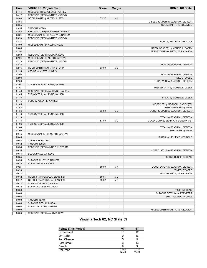| <b>Time</b>    | <b>VISITORS: Virginia Tech</b>                                  | <b>Score</b> | <b>Margin</b>  | <b>HOME: NC State</b>              |
|----------------|-----------------------------------------------------------------|--------------|----------------|------------------------------------|
| 04:14          | MISSED 3PTR by ALLEYNE, NAHIEM                                  |              |                |                                    |
| 04:12          | REBOUND (OFF) by MUTTS, JUSTYN                                  |              |                |                                    |
| 04:09          | GOOD! LAYUP by MUTTS, JUSTYN                                    | 53-57        | V <sub>4</sub> |                                    |
| 03:55          |                                                                 |              |                | MISSED JUMPER by SEABRON, DEREON   |
| 03:55          |                                                                 |              |                | FOUL by SMITH, TERQUAVION          |
| 03:55          | <b>TIMEOUT MEDIA</b>                                            |              |                |                                    |
| 03:53          | REBOUND (DEF) by ALLEYNE, NAHIEM                                |              |                |                                    |
| 03:24          | MISSED JUMPER by ALLEYNE, NAHIEM                                |              |                |                                    |
| 03:24          | REBOUND (OFF) by MUTTS, JUSTYN                                  |              |                |                                    |
| 03:24          |                                                                 |              |                | FOUL by HELLEMS, JERICOLE          |
| 03:09          | MISSED LAYUP by ALUMA, KEVE                                     |              |                |                                    |
| 03:06          |                                                                 |              |                | REBOUND (DEF) by MORSELL, CASEY    |
| 02:54          |                                                                 |              |                | MISSED 3PTR by SMITH, TERQUAVION   |
| 02:50          | REBOUND (DEF) by ALUMA, KEVE                                    |              |                |                                    |
| 02:24<br>02:23 | MISSED LAYUP by MUTTS, JUSTYN<br>REBOUND (OFF) by MUTTS, JUSTYN |              |                |                                    |
| 02:23          |                                                                 |              |                | FOUL by SEABRON, DEREON            |
| 02:16          | GOOD! 3PTR by MURPHY, STORM                                     | 53-60        | V <sub>7</sub> |                                    |
| 02:16          | ASSIST by MUTTS, JUSTYN                                         |              |                |                                    |
| 02:03          |                                                                 |              |                | FOUL by SEABRON, DEREON            |
| 02:03          |                                                                 |              |                | TIMEOUT 30SEC                      |
| 02:03          |                                                                 |              |                | TURNOVER by SEABRON, DEREON        |
| 02:01          | TURNOVER by ALLEYNE, NAHIEM                                     |              |                |                                    |
| 01:51          |                                                                 |              |                | MISSED 3PTR by MORSELL, CASEY      |
| 01:48          | REBOUND (DEF) by ALLEYNE, NAHIEM                                |              |                |                                    |
| 01:45          | TURNOVER by ALLEYNE, NAHIEM                                     |              |                |                                    |
| 01:45          |                                                                 |              |                | STEAL by MORSELL, CASEY            |
| 01:45          | FOUL by ALLEYNE, NAHIEM                                         |              |                |                                    |
| 01:45          |                                                                 |              |                | MISSED FT by MORSELL, CASEY [FB]   |
| 01:42          |                                                                 |              |                | REBOUND (OFF) by TEAM              |
| 01:36          |                                                                 | 55-60        | V <sub>5</sub> | GOOD! JUMPER by SEABRON, DEREON    |
| 01:19          | TURNOVER by ALLEYNE, NAHIEM                                     |              |                |                                    |
| 01:19          |                                                                 |              |                | STEAL by SEABRON, DEREON           |
| 01:15          |                                                                 | 57-60        | $V_3$          | GOOD! DUNK by SEABRON, DEREON [FB] |
| 01:06          | TURNOVER by ALLEYNE, NAHIEM                                     |              |                |                                    |
| 01:06          |                                                                 |              |                | STEAL by SEABRON, DEREON           |
| 01:00          |                                                                 |              |                | TURNOVER by TEAM                   |
| 00:45          | MISSED JUMPER by MUTTS, JUSTYN                                  |              |                |                                    |
| 00:45<br>00:42 |                                                                 |              |                | BLOCK by HELLEMS, JERICOLE         |
| 00:42          | TURNOVER by TEAM<br>TIMEOUT 30SEC                               |              |                |                                    |
| 00:36          | REBOUND (OFF) by MURPHY, STORM                                  |              |                |                                    |
| 00:35          |                                                                 |              |                | MISSED LAYUP by SEABRON, DEREON    |
| 00:35          | BLOCK by ALUMA, KEVE                                            |              |                |                                    |
| 00:35          |                                                                 |              |                | REBOUND (OFF) by TEAM              |
| 00:35          | SUB OUT: ALLEYNE, NAHIEM                                        |              |                |                                    |
| 00:35          | SUB IN: PEDULLA, SEAN                                           |              |                |                                    |
| 00:21          |                                                                 | 59-60        | V <sub>1</sub> | GOOD! LAYUP by SEABRON, DEREON     |
| 00:20          |                                                                 |              |                | TIMEOUT 30SEC                      |
| 00:12          |                                                                 |              |                | FOUL by SMITH, TERQUAVION          |
| 00:12          | GOOD! FT by PEDULLA, SEAN [FB]                                  | 59-61        | V <sub>2</sub> |                                    |
| 00:12          | GOOD! FT by PEDULLA, SEAN [FB]                                  | 59-62        | $V_3$          |                                    |
| 00:12          | SUB OUT: MURPHY, STORM                                          |              |                |                                    |
| 00:12          | SUB IN: N'GUESSAN, DAVID                                        |              |                |                                    |
| 00:08          |                                                                 |              |                | TIMEOUT TEAM                       |
| 00:08          |                                                                 |              |                | SUB OUT: DOWUONA, EBENEZER         |
| 00:08          |                                                                 |              |                | SUB IN: ALLEN, THOMAS              |
| 00:08          | <b>TIMEOUT TEAM</b>                                             |              |                |                                    |
| 00:08          | SUB OUT: PEDULLA, SEAN                                          |              |                |                                    |
| 00:08          | SUB IN: ALLEYNE, NAHIEM                                         |              |                |                                    |
| 00:00          |                                                                 |              |                | MISSED 3PTR by SMITH, TERQUAVION   |
| 00:00          | REBOUND (DEF) by ALUMA, KEVE                                    |              |                |                                    |

# **Virginia Tech 62, NC State 59**

| <b>Points (This Period)</b> | VT             | ST             |
|-----------------------------|----------------|----------------|
| In the Paint                | 10             | 12             |
| Off Turns                   |                | 16             |
| 2nd Chance                  | 5              |                |
| <b>Fast Break</b>           | ว              | 13             |
| Bench                       | 6              | ີ              |
| Per Poss                    | 0.844<br>12/32 | 1.226<br>16/31 |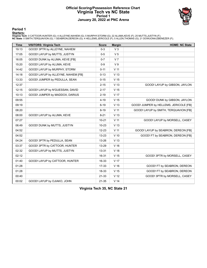### **Official Scoring/Possession Reference Chart Virginia Tech vs NC State Period 1 January 20, 2022 at PNC Arena**



**Period 1**

<mark>Starters:</mark><br>Virginia Tech: 0 CATTOOR,HUNTER (G); 4 ALLEYNE,NAHIEM (G); 5 MURPHY,STORM (G); 22 ALUMA,KEVE (F); 25 MUTTS,JUSTYN (F);<br>NC State: 0 SMITH,TERQUAVION (G); 1 SEABRON,DEREON (G); 4 HELLEMS,JERICOLE (F); 5 ALLEN,TH

| <b>Time</b> | <b>VISITORS: Virginia Tech</b>      | <b>Score</b> | <b>Margin</b>   | <b>HOME: NC State</b>                  |
|-------------|-------------------------------------|--------------|-----------------|----------------------------------------|
| 19:13       | GOOD! 3PTR by ALLEYNE, NAHIEM       | $0 - 3$      | V <sub>3</sub>  |                                        |
| 17:05       | GOOD! LAYUP by MUTTS, JUSTYN        | $0-5$        | V <sub>5</sub>  |                                        |
| 16:05       | GOOD! DUNK by ALUMA, KEVE [FB]      | $0 - 7$      | V <sub>7</sub>  |                                        |
| 15:20       | GOOD! LAYUP by ALUMA, KEVE          | $0-9$        | V <sub>9</sub>  |                                        |
| 14:42       | GOOD! LAYUP by MURPHY, STORM        | $0 - 11$     | $V$ 11          |                                        |
| 14:18       | GOOD! LAYUP by ALLEYNE, NAHIEM [FB] | $0 - 13$     | V <sub>13</sub> |                                        |
| 13:33       | GOOD! JUMPER by PEDULLA, SEAN       | $0 - 15$     | V <sub>15</sub> |                                        |
| 12:37       |                                     | $2 - 15$     | V <sub>13</sub> | GOOD! LAYUP by GIBSON, JAYLON          |
| 12:15       | GOOD! LAYUP by N'GUESSAN, DAVID     | $2 - 17$     | V <sub>15</sub> |                                        |
| 10:13       | GOOD! JUMPER by MADDOX, DARIUS      | $2 - 19$     | V 17            |                                        |
| 09:55       |                                     | $4 - 19$     | V <sub>15</sub> | GOOD! DUNK by GIBSON, JAYLON           |
| 09:19       |                                     | $6 - 19$     | V <sub>13</sub> | GOOD! JUMPER by HELLEMS, JERICOLE [FB] |
| 08:20       |                                     | $8 - 19$     | V <sub>11</sub> | GOOD! LAYUP by SMITH, TERQUAVION [FB]  |
| 08:00       | GOOD! LAYUP by ALUMA, KEVE          | $8 - 21$     | V <sub>13</sub> |                                        |
| 07:27       |                                     | $10 - 21$    | $V$ 11          | GOOD! LAYUP by MORSELL, CASEY          |
| 06:49       | GOOD! DUNK by MUTTS, JUSTYN         | $10 - 23$    | V <sub>13</sub> |                                        |
| 04:52       |                                     | $12 - 23$    | V <sub>11</sub> | GOOD! LAYUP by SEABRON, DEREON [FB]    |
| 04:52       |                                     | $13 - 23$    | $V$ 10          | GOOD! FT by SEABRON, DEREON [FB]       |
| 04:24       | GOOD! 3PTR by PEDULLA, SEAN         | 13-26        | V <sub>13</sub> |                                        |
| 03:37       | GOOD! 3PTR by CATTOOR, HUNTER       | 13-29        | V <sub>16</sub> |                                        |
| 02:32       | GOOD! LAYUP by MUTTS, JUSTYN        | 13-31        | V <sub>18</sub> |                                        |
| 02:12       |                                     | 16-31        | V <sub>15</sub> | GOOD! 3PTR by MORSELL, CASEY           |
| 01:40       | GOOD! LAYUP by CATTOOR, HUNTER      | 16-33        | V <sub>17</sub> |                                        |
| 01:28       |                                     | 17-33        | $V$ 16          | GOOD! FT by SEABRON, DEREON            |
| 01:28       |                                     | 18-33        | V <sub>15</sub> | GOOD! FT by SEABRON, DEREON            |
| 00:40       |                                     | $21 - 33$    | V <sub>12</sub> | GOOD! 3PTR by MORSELL, CASEY           |
| 00:02       | GOOD! LAYUP by OJIAKO, JOHN         | $21 - 35$    | V <sub>14</sub> |                                        |

**Virginia Tech 35, NC State 21**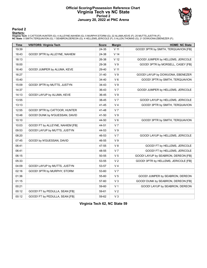### **Official Scoring/Possession Reference Chart Virginia Tech vs NC State Period 2 January 20, 2022 at PNC Arena**



## **Period 2**

#### **Starters:**

Virginia Tech: 0 CATTOOR,HUNTER (G); 4 ALLEYNE,NAHIEM (G); 5 MURPHY,STORM (G); 22 ALUMA,KEVE (F); 25 MUTTS,JUSTYN (F);<br>NC State: 0 SMITH,TERQUAVION (G); 1 SEABRON,DEREON (G); 4 HELLEMS,JERICOLE (F); 5 ALLEN,THOMAS (G); 21

| <b>Time</b> | <b>VISITORS: Virginia Tech</b>   | <b>Score</b> | <b>Margin</b>   | <b>HOME: NC State</b>                |
|-------------|----------------------------------|--------------|-----------------|--------------------------------------|
| 19:39       |                                  | 24-35        | V <sub>11</sub> | GOOD! 3PTR by SMITH, TERQUAVION [FB] |
| 18:43       | GOOD! 3PTR by ALLEYNE, NAHIEM    | 24-38        | V <sub>14</sub> |                                      |
| 18:13       |                                  | 26-38        | V <sub>12</sub> | GOOD! JUMPER by HELLEMS, JERICOLE    |
| 18:00       |                                  | 29-38        | V <sub>9</sub>  | GOOD! 3PTR by MORSELL, CASEY [FB]    |
| 16:40       | GOOD! JUMPER by ALUMA, KEVE      | 29-40        | $V$ 11          |                                      |
| 16:27       |                                  | $31 - 40$    | V <sub>9</sub>  | GOOD! LAYUP by DOWUONA, EBENEZER     |
| 15:40       |                                  | 34-40        | $V_6$           | GOOD! 3PTR by SMITH, TERQUAVION      |
| 15:09       | GOOD! 3PTR by MUTTS, JUSTYN      | 34-43        | V <sub>9</sub>  |                                      |
| 14:37       |                                  | 36-43        | V <sub>7</sub>  | GOOD! JUMPER by HELLEMS, JERICOLE    |
| 14:13       | GOOD! LAYUP by ALUMA, KEVE       | 36-45        | V <sub>9</sub>  |                                      |
| 13:55       |                                  | 38-45        | V <sub>7</sub>  | GOOD! LAYUP by HELLEMS, JERICOLE     |
| 13:13       |                                  | 41-45        | V <sub>4</sub>  | GOOD! 3PTR by SMITH, TERQUAVION      |
| 12:55       | GOOD! 3PTR by CATTOOR, HUNTER    | 41-48        | V <sub>7</sub>  |                                      |
| 10:48       | GOOD! DUNK by N'GUESSAN, DAVID   | 41-50        | V <sub>9</sub>  |                                      |
| 10:10       |                                  | 44-50        | $V_6$           | GOOD! 3PTR by SMITH, TERQUAVION      |
| 10:03       | GOOD! FT by ALLEYNE, NAHIEM [FB] | 44-51        | V <sub>7</sub>  |                                      |
| 09:53       | GOOD! LAYUP by MUTTS, JUSTYN     | 44-53        | V <sub>9</sub>  |                                      |
| 08:20       |                                  | 46-53        | V <sub>7</sub>  | GOOD! LAYUP by HELLEMS, JERICOLE     |
| 07:45       | GOOD! by N'GUESSAN, DAVID        | 46-55        | V <sub>9</sub>  |                                      |
| 06:41       |                                  | 47-55        | V8              | GOOD! FT by HELLEMS, JERICOLE        |
| 06:41       |                                  | 48-55        | V <sub>7</sub>  | GOOD! FT by HELLEMS, JERICOLE        |
| 06:15       |                                  | 50-55        | V <sub>5</sub>  | GOOD! LAYUP by SEABRON, DEREON [FB]  |
| 05:33       |                                  | 53-55        | V <sub>2</sub>  | GOOD! 3PTR by HELLEMS, JERICOLE [FB] |
| 04:09       | GOOD! LAYUP by MUTTS, JUSTYN     | 53-57        | V <sub>4</sub>  |                                      |
| 02:16       | GOOD! 3PTR by MURPHY, STORM      | 53-60        | V <sub>7</sub>  |                                      |
| 01:36       |                                  | 55-60        | V <sub>5</sub>  | GOOD! JUMPER by SEABRON, DEREON      |
| 01:15       |                                  | 57-60        | $V_3$           | GOOD! DUNK by SEABRON, DEREON [FB]   |
| 00:21       |                                  | 59-60        | V <sub>1</sub>  | GOOD! LAYUP by SEABRON, DEREON       |
| 00:12       | GOOD! FT by PEDULLA, SEAN [FB]   | 59-61        | V <sub>2</sub>  |                                      |
| 00:12       | GOOD! FT by PEDULLA, SEAN [FB]   | 59-62        | $V_3$           |                                      |

**Virginia Tech 62, NC State 59**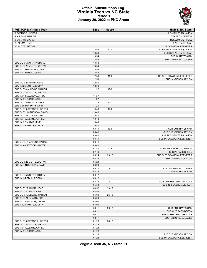

## **Official Substitutions Log Virginia Tech vs NC State Period 1 January 20, 2022 at PNC Arena**

| <b>VISITORS: Virginia Tech</b> | Time  | <b>Score</b> | <b>HOME: NC State</b>      |
|--------------------------------|-------|--------------|----------------------------|
| 0 CATTOOR.HUNTER               |       |              | 0 SMITH, TERQUAVION        |
| 4 ALLEYNE.NAHIEM               |       |              | 1 SEABRON.DEREON           |
| 5 MURPHY, STORM                |       |              | 4 HELLEMS, JERICOLE        |
| 22 ALUMA, KEVE                 |       |              | 5 ALLEN, THOMAS            |
| 25 MUTTS, JUSTYN               |       |              | 21 DOWUONA, EBENEZER       |
|                                | 13:54 | $13-0$       | SUB OUT: SMITH, TERQUAVION |
|                                | 13:54 |              | SUB OUT: ALLEN, THOMAS     |
|                                |       |              |                            |
|                                | 13:54 |              | SUB IN: HAYES, CAM         |
|                                | 13:54 |              | SUB IN: MORSELL, CASEY     |
| SUB OUT: 5 MURPHY, STORM       | 13:54 |              |                            |
| SUB OUT: 25 MUTTS, JUSTYN      | 13:54 |              |                            |
| SUB IN: 1 N'GUESSAN, DAVID     | 13:54 |              |                            |
| SUB IN: 3 PEDULLA, SEAN        | 13:54 |              |                            |
|                                | 12:50 | $15-0$       | SUB OUT: DOWUONA, EBENEZER |
|                                | 12:50 |              | SUB IN: GIBSON, JAYLON     |
| SUB OUT: 22 ALUMA, KEVE        | 12:50 |              |                            |
| SUB IN: 25 MUTTS, JUSTYN       | 12:50 |              |                            |
| SUB OUT: 4 ALLEYNE, NAHIEM     | 11:37 | $17-2$       |                            |
| SUB OUT: 25 MUTTS, JUSTYN      | 11:37 |              |                            |
| SUB IN: 13 MADDOX, DARIUS      | 11:37 |              |                            |
| SUB IN: 21 OJIAKO, JOHN        | 11:37 |              |                            |
| SUB OUT: 3 PEDULLA, SEAN       | 11:25 | $17-2$       |                            |
| SUB IN: 5 MURPHY, STORM        | 11:25 |              |                            |
| SUB OUT: 0 CATTOOR, HUNTER     | 10:40 | $17 - 2$     |                            |
| SUB OUT: 1 N'GUESSAN, DAVID    | 10:40 |              |                            |
| SUB OUT: 21 OJIAKO, JOHN       | 10:40 |              |                            |
| SUB IN: 4 ALLEYNE, NAHIEM      | 10:40 |              |                            |
| SUB IN: 22 ALUMA, KEVE         | 10:40 |              |                            |
| SUB IN: 25 MUTTS, JUSTYN       | 10:40 |              |                            |
|                                | 08:41 | $19-6$       | SUB OUT: HAYES,CAM         |
|                                |       |              |                            |
|                                | 08:41 |              | SUB OUT: GIBSON, JAYLON    |
|                                | 08:41 |              | SUB IN: SMITH, TERQUAVION  |
|                                | 08:41 |              | SUB IN: DOWUONA, EBENEZER  |
| SUB OUT: 13 MADDOX, DARIUS     | 08:41 |              |                            |
| SUB IN: 0 CATTOOR, HUNTER      | 08:41 |              |                            |
|                                | 07:40 | $21 - 8$     | SUB OUT: SEABRON, DEREON   |
|                                | 07:40 |              | SUB IN: PASS, BREON        |
|                                | 06:24 | $23-10$      | SUB OUT: DOWUONA, EBENEZER |
|                                | 06:24 |              | SUB IN: GIBSON, JAYLON     |
| SUB OUT: 25 MUTTS, JUSTYN      | 06:24 |              |                            |
| SUB IN: 1 N'GUESSAN, DAVID     | 06:24 |              |                            |
|                                | 06:12 | $23-10$      | SUB OUT: MORSELL, CASEY    |
|                                | 06:12 |              | SUB IN: HAYES, CAM         |
| SUB OUT: 5 MURPHY, STORM       | 06:12 |              |                            |
| SUB IN: 3 PEDULLA, SEAN        | 06:12 |              |                            |
|                                | 05:34 | $23 - 10$    | SUB OUT: HELLEMS, JERICOLE |
|                                | 05:34 |              | SUB IN: SEABRON.DEREON     |
| SUB OUT: 22 ALUMA, KEVE        | 04:52 | $23-12$      |                            |
| SUB IN: 21 OJIAKO, JOHN        | 04:52 |              |                            |
| SUB OUT: 4 ALLEYNE, NAHIEM     | 04:00 | $26-13$      |                            |
| SUB OUT: 21 OJIAKO, JOHN       | 04:00 |              |                            |
| SUB IN: 13 MADDOX, DARIUS      | 04:00 |              |                            |
| SUB IN: 25 MUTTS, JUSTYN       | 04:00 |              |                            |
|                                | 03:11 | 29-13        | SUB OUT: HAYES, CAM        |
|                                |       |              | SUB OUT: PASS, BREON       |
|                                | 03:11 |              | SUB IN: HELLEMS, JERICOLE  |
|                                | 03:11 |              |                            |
|                                | 03:11 |              | SUB IN: MORSELL, CASEY     |
| SUB OUT: 0 CATTOOR, HUNTER     | 01:28 | $33 - 17$    |                            |
| SUB OUT: 25 MUTTS, JUSTYN      | 01:28 |              |                            |
| SUB IN: 4 ALLEYNE, NAHIEM      | 01:28 |              |                            |
| SUB IN: 21 OJIAKO, JOHN        | 01:28 |              |                            |
|                                | 01:28 |              | SUB OUT: GIBSON, JAYLON    |
|                                | 01:28 |              | SUB IN: DOWUONA, EBENEZER  |

**Virginia Tech 35, NC State 21**